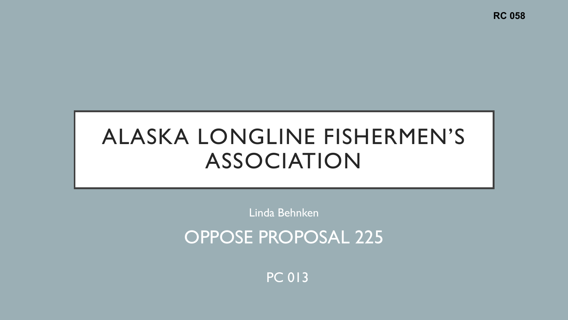**RC 058**

## ALASKA LONGLINE FISHERMEN'S ASSOCIATION

Linda Behnken

OPPOSE PROPOSAL 225

PC 013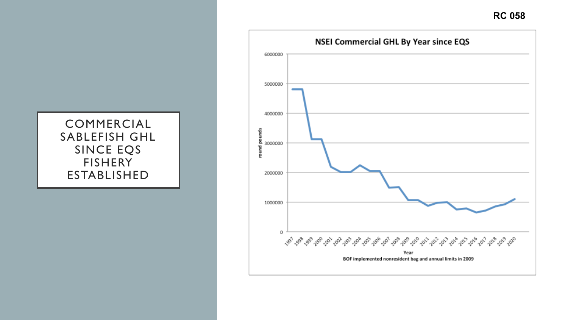**RC 058**

## COMMERCIAL SABLEFISH GHL SINCE EQS FISHERY ESTABLISHED

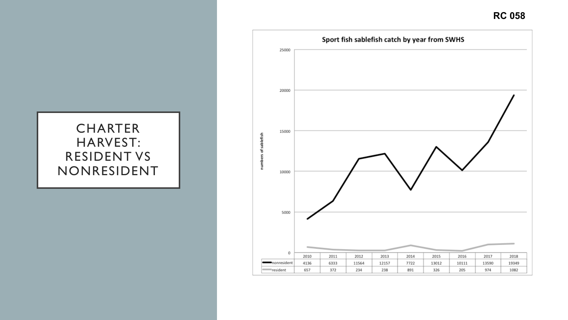**RC 058**

## **CHARTER** HARVEST: RESIDENT VS NONRESIDENT